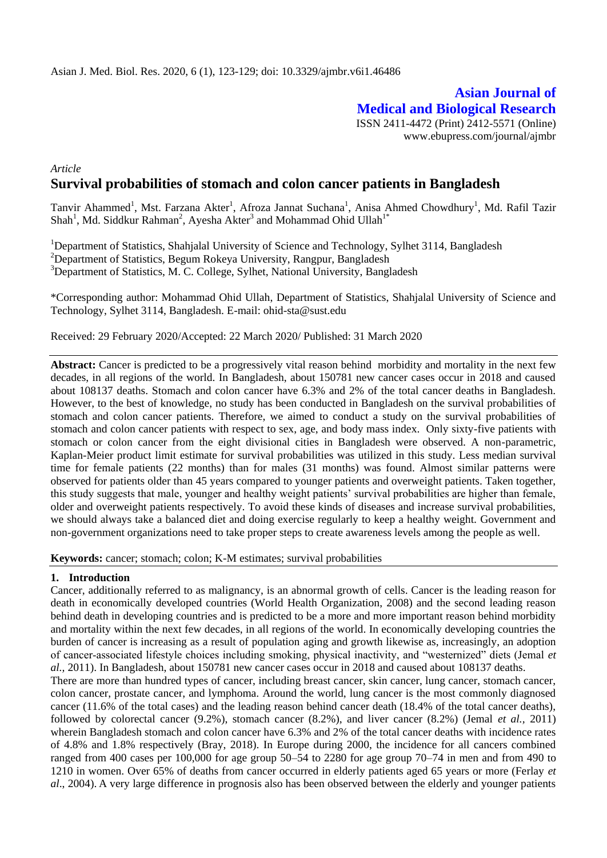# **Asian Journal of Medical and Biological Research** ISSN 2411-4472 (Print) 2412-5571 (Online) www.ebupress.com/journal/ajmbr

*Article* **Survival probabilities of stomach and colon cancer patients in Bangladesh**

Tanvir Ahammed<sup>1</sup>, Mst. Farzana Akter<sup>1</sup>, Afroza Jannat Suchana<sup>1</sup>, Anisa Ahmed Chowdhury<sup>1</sup>, Md. Rafil Tazir Shah<sup>1</sup>, Md. Siddkur Rahman<sup>2</sup>, Ayesha Akter<sup>3</sup> and Mohammad Ohid Ullah<sup>1\*</sup>

<sup>1</sup>Department of Statistics, Shahjalal University of Science and Technology, Sylhet 3114, Bangladesh <sup>2</sup>Department of Statistics, Begum Rokeya University, Rangpur, Bangladesh <sup>3</sup>Department of Statistics, M. C. College, Sylhet, National University, Bangladesh

\*Corresponding author: Mohammad Ohid Ullah, Department of Statistics, Shahjalal University of Science and Technology, Sylhet 3114, Bangladesh. E-mail: [ohid-sta@sust.edu](mailto:ohid-sta@sust.edu)

Received: 29 February 2020/Accepted: 22 March 2020/ Published: 31 March 2020

**Abstract:** Cancer is predicted to be a progressively vital reason behind morbidity and mortality in the next few decades, in all regions of the world. In Bangladesh, about 150781 new cancer cases occur in 2018 and caused about 108137 deaths. Stomach and colon cancer have 6.3% and 2% of the total cancer deaths in Bangladesh. However, to the best of knowledge, no study has been conducted in Bangladesh on the survival probabilities of stomach and colon cancer patients. Therefore, we aimed to conduct a study on the survival probabilities of stomach and colon cancer patients with respect to sex, age, and body mass index. Only sixty-five patients with stomach or colon cancer from the eight divisional cities in Bangladesh were observed. A non-parametric, Kaplan-Meier product limit estimate for survival probabilities was utilized in this study. Less median survival time for female patients (22 months) than for males (31 months) was found. Almost similar patterns were observed for patients older than 45 years compared to younger patients and overweight patients. Taken together, this study suggests that male, younger and healthy weight patients' survival probabilities are higher than female, older and overweight patients respectively. To avoid these kinds of diseases and increase survival probabilities, we should always take a balanced diet and doing exercise regularly to keep a healthy weight. Government and non-government organizations need to take proper steps to create awareness levels among the people as well.

**Keywords:** cancer; stomach; colon; K-M estimates; survival probabilities

### **1. Introduction**

Cancer, additionally referred to as malignancy, is an abnormal growth of cells. Cancer is the leading reason for death in economically developed countries (World Health Organization, 2008) and the second leading reason behind death in developing countries and is predicted to be a more and more important reason behind morbidity and mortality within the next few decades, in all regions of the world. In economically developing countries the burden of cancer is increasing as a result of population aging and growth likewise as, increasingly, an adoption of cancer‐associated lifestyle choices including smoking, physical inactivity, and "westernized" diets (Jemal *et al.,* 2011). In Bangladesh, about 150781 new cancer cases occur in 2018 and caused about 108137 deaths.

There are more than hundred types of cancer, including breast cancer, skin cancer, lung cancer, stomach cancer, colon cancer, prostate cancer, and lymphoma. Around the world, lung cancer is the most commonly diagnosed cancer (11.6% of the total cases) and the leading reason behind cancer death (18.4% of the total cancer deaths), followed by colorectal cancer (9.2%), stomach cancer (8.2%), and liver cancer (8.2%) (Jemal *et al.,* 2011) wherein Bangladesh stomach and colon cancer have 6.3% and 2% of the total cancer deaths with incidence rates of 4.8% and 1.8% respectively (Bray, 2018). In Europe during 2000, the incidence for all cancers combined ranged from 400 cases per 100,000 for age group 50–54 to 2280 for age group 70–74 in men and from 490 to 1210 in women. Over 65% of deaths from cancer occurred in elderly patients aged 65 years or more (Ferlay *et al*., 2004). A very large difference in prognosis also has been observed between the elderly and younger patients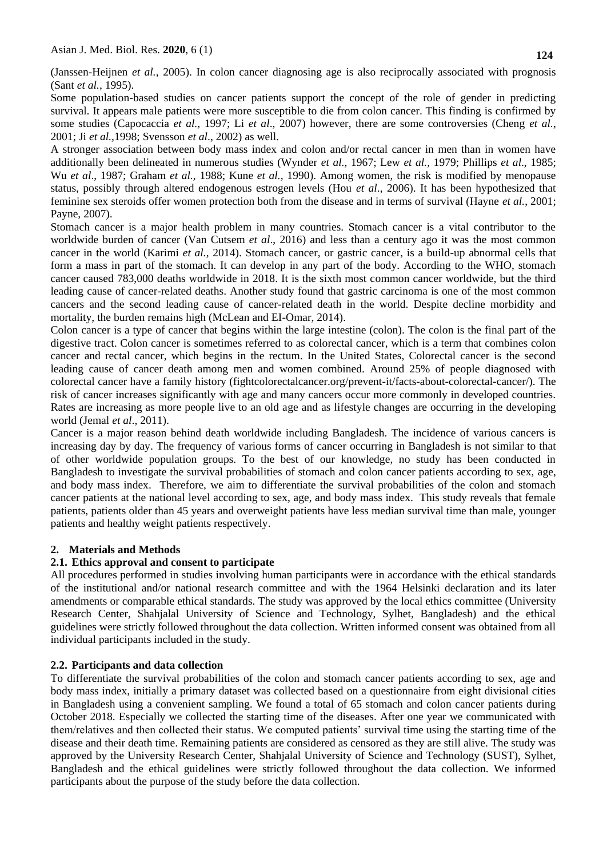(Janssen-Heijnen *et al.*, 2005). In colon cancer diagnosing age is also reciprocally associated with prognosis (Sant *et al.*, 1995).

Some population-based studies on cancer patients support the concept of the role of gender in predicting survival. It appears male patients were more susceptible to die from colon cancer. This finding is confirmed by some studies (Capocaccia *et al.,* 1997; Li *et al*., 2007) however, there are some controversies (Cheng *et al.*, 2001; Ji *et al.,*1998; Svensson *et al*., 2002) as well.

A stronger association between body mass index and colon and/or rectal cancer in men than in women have additionally been delineated in numerous studies (Wynder *et al.,* 1967; Lew *et al.,* 1979; Phillips *et al*., 1985; Wu *et al*., 1987; Graham *et al.,* 1988; Kune *et al.,* 1990). Among women, the risk is modified by menopause status, possibly through altered endogenous estrogen levels (Hou *et al*., 2006). It has been hypothesized that feminine sex steroids offer women protection both from the disease and in terms of survival (Hayne *et al.*, 2001; Payne, 2007).

Stomach cancer is a major health problem in many countries. Stomach cancer is a vital contributor to the worldwide burden of cancer (Van Cutsem *et al*., 2016) and less than a century ago it was the most common cancer in the world (Karimi *et al.,* 2014). Stomach cancer, or gastric cancer, is a build-up abnormal cells that form a mass in part of the stomach. It can develop in any part of the body. According to the WHO, stomach cancer caused 783,000 deaths worldwide in 2018. It is the sixth most common cancer worldwide, but the third leading cause of cancer-related deaths. Another study found that gastric carcinoma is one of the most common cancers and the second leading cause of cancer-related death in the world. Despite decline morbidity and mortality, the burden remains high (McLean and EI-Omar, 2014).

Colon cancer is a type of cancer that begins within the large intestine (colon). The colon is the final part of the digestive tract. Colon cancer is sometimes referred to as colorectal cancer, which is a term that combines colon cancer and rectal cancer, which begins in the rectum. In the United States, Colorectal cancer is the second leading cause of cancer death among men and women combined. Around 25% of people diagnosed with colorectal cancer have a family history (fightcolorectalcancer.org/prevent-it/facts-about-colorectal-cancer/). The risk of cancer increases significantly with age and many cancers occur more commonly in developed countries. Rates are increasing as more people live to an old age and as lifestyle changes are occurring in the developing world (Jemal *et al*., 2011).

Cancer is a major reason behind death worldwide including Bangladesh. The incidence of various cancers is increasing day by day. The frequency of various forms of cancer occurring in Bangladesh is not similar to that of other worldwide population groups. To the best of our knowledge, no study has been conducted in Bangladesh to investigate the survival probabilities of stomach and colon cancer patients according to sex, age, and body mass index. Therefore, we aim to differentiate the survival probabilities of the colon and stomach cancer patients at the national level according to sex, age, and body mass index. This study reveals that female patients, patients older than 45 years and overweight patients have less median survival time than male, younger patients and healthy weight patients respectively.

## **2. Materials and Methods**

## **2.1. Ethics approval and consent to participate**

All procedures performed in studies involving human participants were in accordance with the ethical standards of the institutional and/or national research committee and with the 1964 Helsinki declaration and its later amendments or comparable ethical standards. The study was approved by the local ethics committee (University Research Center, Shahjalal University of Science and Technology, Sylhet, Bangladesh) and the ethical guidelines were strictly followed throughout the data collection. Written informed consent was obtained from all individual participants included in the study.

## **2.2. Participants and data collection**

To differentiate the survival probabilities of the colon and stomach cancer patients according to sex, age and body mass index, initially a primary dataset was collected based on a questionnaire from eight divisional cities in Bangladesh using a convenient sampling. We found a total of 65 stomach and colon cancer patients during October 2018. Especially we collected the starting time of the diseases. After one year we communicated with them/relatives and then collected their status. We computed patients' survival time using the starting time of the disease and their death time. Remaining patients are considered as censored as they are still alive. The study was approved by the University Research Center, Shahjalal University of Science and Technology (SUST), Sylhet, Bangladesh and the ethical guidelines were strictly followed throughout the data collection. We informed participants about the purpose of the study before the data collection.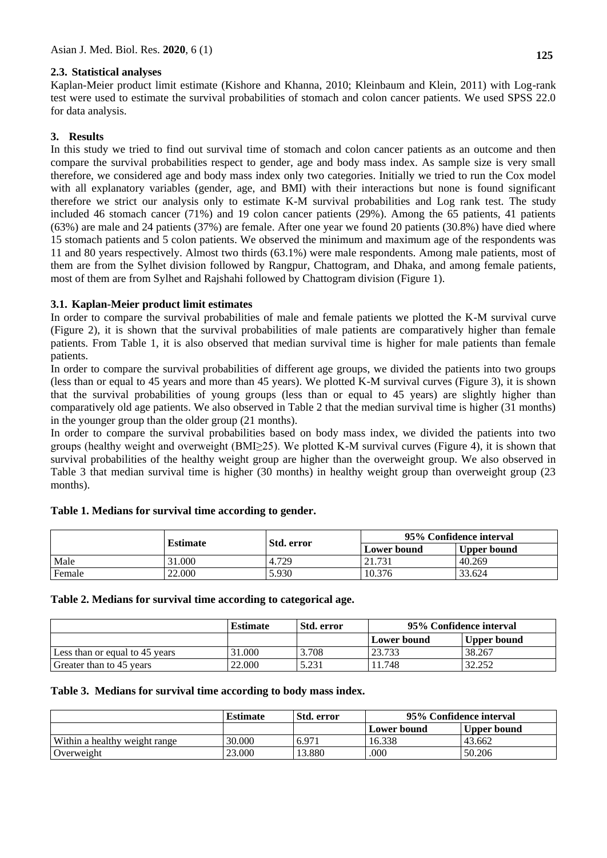Kaplan-Meier product limit estimate (Kishore and Khanna, 2010; Kleinbaum and Klein, 2011) with Log-rank test were used to estimate the survival probabilities of stomach and colon cancer patients. We used SPSS 22.0 for data analysis.

# **3. Results**

In this study we tried to find out survival time of stomach and colon cancer patients as an outcome and then compare the survival probabilities respect to gender, age and body mass index. As sample size is very small therefore, we considered age and body mass index only two categories. Initially we tried to run the Cox model with all explanatory variables (gender, age, and BMI) with their interactions but none is found significant therefore we strict our analysis only to estimate K-M survival probabilities and Log rank test. The study included 46 stomach cancer (71%) and 19 colon cancer patients (29%). Among the 65 patients, 41 patients (63%) are male and 24 patients (37%) are female. After one year we found 20 patients (30.8%) have died where 15 stomach patients and 5 colon patients. We observed the minimum and maximum age of the respondents was 11 and 80 years respectively. Almost two thirds (63.1%) were male respondents. Among male patients, most of them are from the Sylhet division followed by Rangpur, Chattogram, and Dhaka, and among female patients, most of them are from Sylhet and Rajshahi followed by Chattogram division (Figure 1).

## **3.1. Kaplan-Meier product limit estimates**

In order to compare the survival probabilities of male and female patients we plotted the K-M survival curve (Figure 2), it is shown that the survival probabilities of male patients are comparatively higher than female patients. From Table 1, it is also observed that median survival time is higher for male patients than female patients.

In order to compare the survival probabilities of different age groups, we divided the patients into two groups (less than or equal to 45 years and more than 45 years). We plotted K-M survival curves (Figure 3), it is shown that the survival probabilities of young groups (less than or equal to 45 years) are slightly higher than comparatively old age patients. We also observed in Table 2 that the median survival time is higher (31 months) in the younger group than the older group (21 months).

In order to compare the survival probabilities based on body mass index, we divided the patients into two groups (healthy weight and overweight (BMI≥25). We plotted K-M survival curves (Figure 4), it is shown that survival probabilities of the healthy weight group are higher than the overweight group. We also observed in Table 3 that median survival time is higher (30 months) in healthy weight group than overweight group (23 months).

|        | <b>Estimate</b> | Std. error | 95% Confidence interval |             |
|--------|-----------------|------------|-------------------------|-------------|
|        |                 |            | Lower bound             | Upper bound |
| Male   | 31.000          | 4.729      | 21.731                  | 40.269      |
| Female | 22,000          | 5.930      | 10.376                  | 33.624      |

## **Table 1. Medians for survival time according to gender.**

## **Table 2. Medians for survival time according to categorical age.**

|                                | <b>Estimate</b> | <b>Std. error</b> | 95% Confidence interval |             |
|--------------------------------|-----------------|-------------------|-------------------------|-------------|
|                                |                 |                   | Lower bound             | Upper bound |
| Less than or equal to 45 years | 31.000          | 3.708             | 23.733                  | 38.267      |
| Greater than to 45 years       | 22.000          | 5.231             | 11.748                  | 32.252      |

## **Table 3. Medians for survival time according to body mass index.**

|                               | <b>Estimate</b> | Std. error | 95% Confidence interval |                    |
|-------------------------------|-----------------|------------|-------------------------|--------------------|
|                               |                 |            | Lower bound             | <b>Upper bound</b> |
| Within a healthy weight range | 30.000          | 6.971      | 16.338                  | 43.662             |
| Overweight                    | 23,000          | 13.880     | .000                    | 50.206             |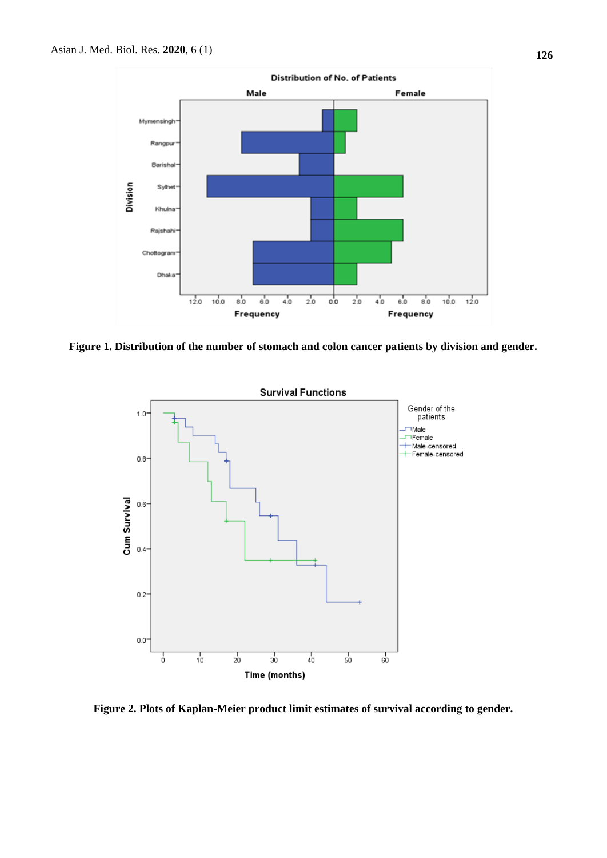

**Figure 1. Distribution of the number of stomach and colon cancer patients by division and gender.**



**Figure 2. Plots of Kaplan-Meier product limit estimates of survival according to gender.**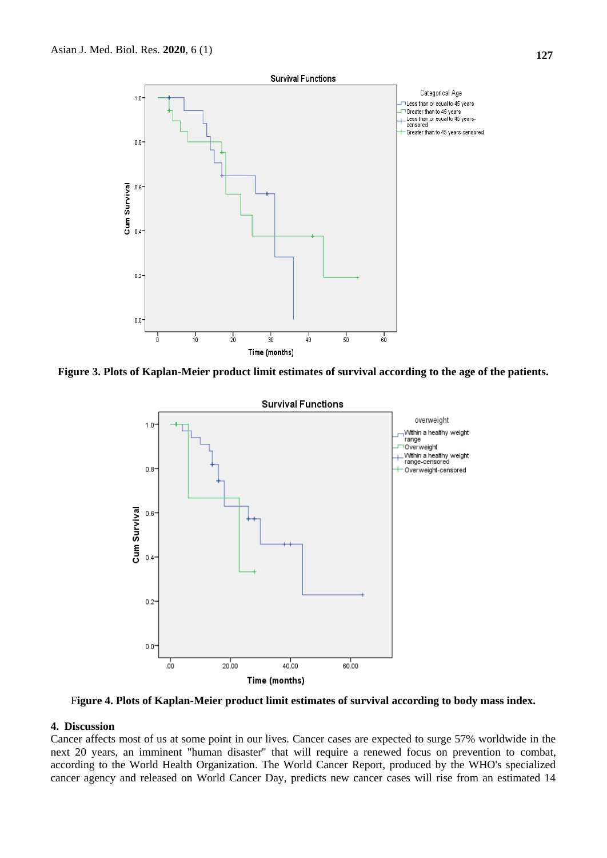

**Figure 3. Plots of Kaplan-Meier product limit estimates of survival according to the age of the patients.**



F**igure 4. Plots of Kaplan-Meier product limit estimates of survival according to body mass index.**

#### **4. Discussion**

Cancer affects most of us at some point in our lives. Cancer cases are expected to surge 57% worldwide in the next 20 years, an imminent "human disaster" that will require a renewed focus on prevention to combat, according to the World Health Organization. The World Cancer Report, produced by the WHO's specialized cancer agency and released on World Cancer Day, predicts new cancer cases will rise from an estimated 14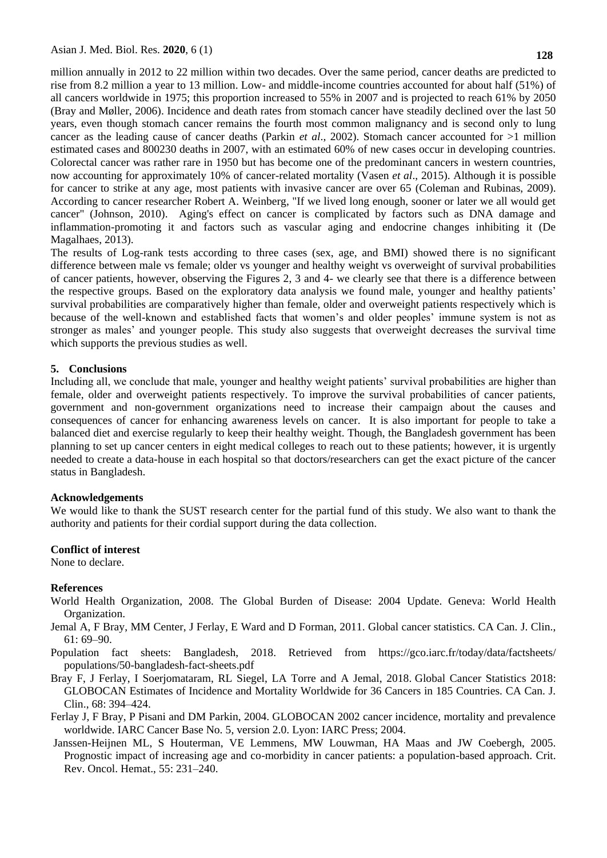million annually in 2012 to 22 million within two decades. Over the same period, cancer deaths are predicted to rise from 8.2 million a year to 13 million. Low- and middle-income countries accounted for about half (51%) of all cancers worldwide in 1975; this proportion increased to 55% in 2007 and is projected to reach 61% by 2050 (Bray and Møller, 2006). Incidence and death rates from stomach cancer have steadily declined over the last 50 years, even though stomach cancer remains the fourth most common malignancy and is second only to lung cancer as the leading cause of cancer deaths (Parkin *et al*., 2002). Stomach cancer accounted for >1 million estimated cases and 800230 deaths in 2007, with an estimated 60% of new cases occur in developing countries. Colorectal cancer was rather rare in 1950 but has become one of the predominant cancers in western countries, now accounting for approximately 10% of cancer-related mortality (Vasen *et al*., 2015). Although it is possible for cancer to strike at any age, most patients with invasive cancer are over 65 (Coleman and Rubinas, 2009). According to cancer researcher Robert A. Weinberg, "If we lived long enough, sooner or later we all would get cancer" (Johnson, 2010). Aging's effect on cancer is complicated by factors such as DNA damage and inflammation-promoting it and factors such as vascular aging and endocrine changes inhibiting it (De Magalhaes, 2013).

The results of Log-rank tests according to three cases (sex, age, and BMI) showed there is no significant difference between male vs female; older vs younger and healthy weight vs overweight of survival probabilities of cancer patients, however, observing the Figures 2, 3 and 4- we clearly see that there is a difference between the respective groups. Based on the exploratory data analysis we found male, younger and healthy patients' survival probabilities are comparatively higher than female, older and overweight patients respectively which is because of the well-known and established facts that women's and older peoples' immune system is not as stronger as males' and younger people. This study also suggests that overweight decreases the survival time which supports the previous studies as well.

### **5. Conclusions**

Including all, we conclude that male, younger and healthy weight patients' survival probabilities are higher than female, older and overweight patients respectively. To improve the survival probabilities of cancer patients, government and non-government organizations need to increase their campaign about the causes and consequences of cancer for enhancing awareness levels on cancer. It is also important for people to take a balanced diet and exercise regularly to keep their healthy weight. Though, the Bangladesh government has been planning to set up cancer centers in eight medical colleges to reach out to these patients; however, it is urgently needed to create a data-house in each hospital so that doctors/researchers can get the exact picture of the cancer status in Bangladesh.

#### **Acknowledgements**

We would like to thank the SUST research center for the partial fund of this study. We also want to thank the authority and patients for their cordial support during the data collection.

#### **Conflict of interest**

None to declare.

#### **References**

- World Health Organization, 2008. The Global Burden of Disease: 2004 Update. Geneva: World Health Organization.
- Jemal A, F Bray, MM Center, J Ferlay, E Ward and D Forman, 2011. Global cancer statistics. CA Can. J. Clin., 61: 69–90.
- Population fact sheets: Bangladesh, 2018. Retrieved from [https://gco.iarc.fr/today/data/factsheets/](https://gco.iarc.fr/today/data/factsheets/populations/50-bangladesh-fact-sheets.pdf) [populations/50-bangladesh-fact-sheets.pdf](https://gco.iarc.fr/today/data/factsheets/populations/50-bangladesh-fact-sheets.pdf)
- Bray F, J Ferlay, I Soerjomataram, RL Siegel, LA Torre and A Jemal, 2018. Global Cancer Statistics 2018: GLOBOCAN Estimates of Incidence and Mortality Worldwide for 36 Cancers in 185 Countries. CA Can. J. Clin., 68: 394–424.
- Ferlay J, F Bray, P Pisani and DM Parkin, 2004. GLOBOCAN 2002 cancer incidence, mortality and prevalence worldwide. IARC Cancer Base No. 5, version 2.0. Lyon: IARC Press; 2004.
- Janssen-Heijnen ML, S Houterman, VE Lemmens, MW Louwman, HA Maas and JW Coebergh, 2005. Prognostic impact of increasing age and co-morbidity in cancer patients: a population-based approach. Crit. Rev. Oncol. Hemat., 55: 231–240.